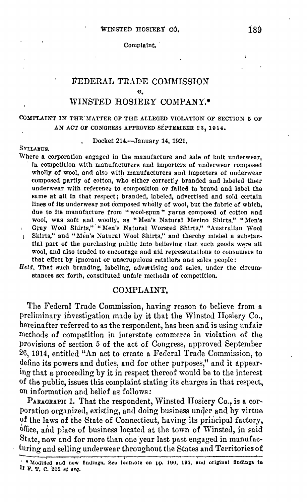#### Complaint.

# FEDERAL TRADE COMMISSION WINSTED HOSIERY COMPANY.\*

# COMPLAINT IN THE "lfATTER OF TUE ALLEGED VIOLATION OF SECTION **5** OF AN ACT OF CONGRESS APPROVED SÉPTEMBER 26, 1914.

#### Docket 214.-January 14, 1921.

### SYLLABUS,

- Where a corporation engaged in the manufacture and sale of knit underwear, · In competition wlth manufacturers nnd importers **of** underwear composed wholly of wool, and also with manufacturers and importers of underwear composed partly of cotton, who either correctly branded and labeled their underwear with reference to composition or failed to brand and label the same at all in that respect; branded, labeled, advertised and sold certain lines of its underwear not composed wholly of wool, but the fabric of which, due to its manufacture from "wool-spun" yarns composed of cotton and wool, was soft and woolly, as "Men's Natural Merino Shirts," "Men's Gray Wool Shirts," "Men's Natural Worsted Shirts," "Australian Wool  $\overline{1}$ Shirts," and "Men's Natural Wool Shirts," and thereby misled a substan- $\mathbf{F}$
- tial part of the purchasing public into believing that such goods were all wool, and also tended to encourage and aid representations to consumers to that effect by ignorant or unscrupulous retailers and sales people:
- *Held*, That such branding, labeling, advortising and sales, under the circumstances set forth, constituted unfair methods **of** competitlon.

# COMPLAINT.

The Federal Trade Commission, having reason to believe from a preliminary investigation made by it that the Wjnstcd Hosiery Co., hereinafter referred to as the respondent, has been and is using unfair methods of competition in interstate commerce in violation 0£ the provisions of section 5 of the act of Congress, approved September 26, 1914, entitled "An net to create a Federal Trade Commission, to define its powers and duties, and for other purposes," and it appearing that a proceeding by it in respect thereof would be to the interest of the public, issues this complaint stating its charges in that respect, on information and belief as follows:

PARAGRAPH 1, That the respondent, Winsted Hosiery Co., is a corporation organized, existing, and doing business under and by virtue of the laws of the State of Connecticut, having its principal factory, office, and place of business located at the town of Winsted, in said State, now and for more than one year last past engaged in manufacturing and selling underwear throughout the States and Territories of

<sup>\*</sup> Modified and new fludings. See footnote on pp. 190, 191, and original findings in Ir F. 'l', C. 202 **et** *1eq.*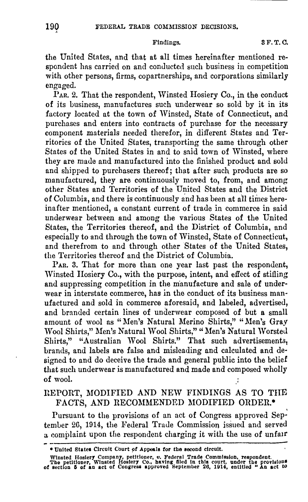Findings. 8 F.T.C.

the United States, nnd that at all times hereinafter mentioned respondent has carried on and conducted such business in competition with other persons, firms, copartnerships, and corporations similarly engaged.

PAR. 2. That the respondent, Winsted Hosiery Co., in the conduct of its business, manufactures such underwear so sold by it in its fuctory located at the town of Winsted, State of Connecticut, and purchases and enters into contracts of purchase for the necessary component materials needed therefor, in different States and Territories of the United States, transporting the same through other States of the United States in and to said town of Winsted, where they are made and manufactured into the finished product and sold and shipped to purchasers thereof; that after such products are so manufactured, they are continuously moved to, from, and among other States and Territories of the United States and the District of Columbia, and there is continuously and has been at all times hereinafter mentioned, a constant current of trade in commerce in said underwear between and among the various States of the United States, the Territories thereof, and the District of Columbia, and especially to and through the town of Winsted, State of Connecticut, and therefrom to and through other States of the United States, the Territories thereof and the District of Columbia.

PAR. 3. That for more than one year last past the respondent, Winsted Hosiery Co., with the purpose, intent, and effect of stifling and suppressing competition in the manufacture and sale of underwear in interstate commerce, has in the conduct of its business manufactured and sold in commerce aforesaid, and labeled, advertised, and branded certain lines of underwear composed of but a small amount of wool as "Men's Natural Merino Shirts," "Men's Gray Wool Shirts," Men's Natural Wool Shirts," "Men's Natural Worsted Shirts," "Australian Wool Shirts." That such advertisements, brands, and labels are false and misleading and calculated and designed to and do deceive the trade and general public into the belief that such underwear is manufactured and made and composed wholly of wool.

# llEPORT, MODIFIED AND NEW FINDINGS AS TO THE FACTS, AND RECOMMENDED MODIFIED ORDER.\*

Pursuant to the provisions of an act of Congress approved September 26, 1914, the Federal Trade Commission issued and served a complaint upon the respondent charging it with the use of unfair

<sup>•</sup> United States Circuit Court of Appeals for the second circuit.

Winsted Hoslery Company, petitioner, v. Federal Trade Commission, respondent.<br>The petitioner, Winsted Hoslery Co., having filed in this court, under the provisions<br>of section 5 of an act of Congress approved September 26,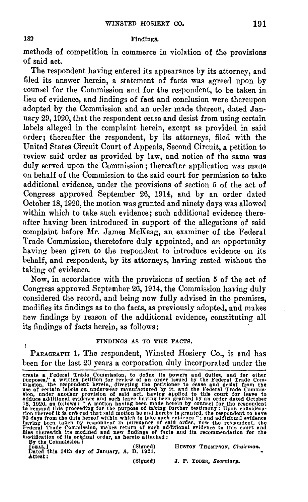# 189 Findings.

methods of competition in commerce in violation of the provisions of said act.

The respondent having entered its appearance by its attorney, and filed its answer herein, a statement of facts was agreed upon by counsel for the Commission and for the respondent, to be taken in lieu of evidence, and findings of fact and conclusion were thereupon adopted by the Commission and an order made thereon, dated Jannary 29, 1920, that the respondent cease and desist from using certain labels alleged in the complaint herein, except as provided in said order; thereafter the respondent, by its attorneys, filed with the United States Circuit Court of Appeals, Second Circuit, a petition to review said order as provided by law, and notice of the same was duly served upon the Commission; thereafter application was made on behalf of the Commission to the said court for permission to take additional evidence, under the provisions of section 5 of the act of Congress approved September 26, 1914, and by an order dated October 18, 1920, the motion was granted and ninety days was allowed within which to take such evidence; such additional evidence thereafter having been introduced in support of the allegations of said complaint before Mr. James McKeag, an examiner of the Federal Trade Commission, theretofore duly appointed, and an opportunity having been given to the respondent to introduce evidence on its behalf, and respondent, by its attorneys, having rested without the taking of evidence.

Now, in accordance with the provisions of section 5 of the act of Congress approved September 26, 1914, the Commission having duly considered the record, and being now fully advised in the premises, modifies its findings as to the facts, as previously adopted, and makes new findings by reason of the additional evidence, constituting all its findings of facts herein, as follows :

### FINDINGS AS TO THE FACTS,

PARAGRAPH 1. The respondent, Winsted Hosiery Co., is and has been for the last 20 years a corporation duly incorporated under the

(Signed) HUSTON THOMPSON, *Chairman*. (Signed) HUSTON THOMPSON, *Chairman.* Dated this 14th day of January, A, D. 1921. Attest:

(Signed)

J. P. YODER, Secretary.

create a Federal Trade Commission, to define its powers and duties, and for other purposes," a written petition for review of an order issued by the Federal Trade Commission, the respondent herein, directing the petitioner sion, under another provision of said act, having applied to this court for leave to additional evidence and such leave having been granted by an order dated October 18, 1920, as follows: "A motion having been made herein by counsel for the respondent<br>to remand this proceeding for the purpose of taking further testimony: Upon consideration<br>tion thereof it is ordered that said motion be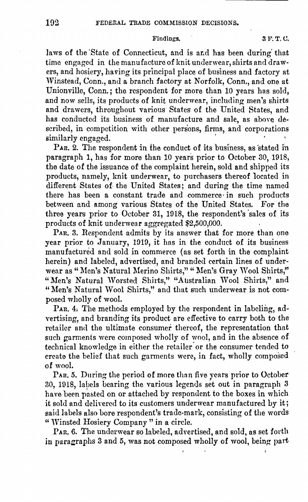### Findings. 3 F.T.C.

laws of the State of Connecticut, and is and has been during that time engaged in the manufacture of knit underwear, shirts and drawers, and hosiery, having its principal place of business and factory at Winstead, Conn., and a branch factory at Norfolk, Conn., and one at Unionville, Conn.; the respondent for more than 10 years has sold, and now sells, its products of knit underwear, including men's shirts and drawers, throughout various States of the United States, and has conducted its business of manufacture and sale, as above described, in competition with other persons, firms, and corporations similarly engaged.

 $P_{AR}$ , 2. The respondent in the conduct of its business, as stated in paragraph 1, has for more than 10 years prior to October 30, 1918, the date of the issuance of the complaint herein, sold and shipped its products, namely, knit underwear, to purchasers thereof located in different States of. the United States; and during the time named there has been a constant trade and commerce in such products between and among various States of the United States. For the three years prior to October 31, 1918, the respondent's 'sales of its products of knit underwear aggregated \$2,500,000.

PAR. 3. Respondent admits by its answer that for more than one year prior to January, 1919, it has in the conduct of its business manufactured and sold in commerce (as set forth in the complaint herein) and labeled, advertised, and branded certain lines of underwear as "Men's Natural Merino Shirts," "Men's Gray Wool Shirts," "Men's Natural Worsted Shirts," "Australian Wool Shirts," and "Men's Natural Wool Shirts," and that such underwear is not composed wholly of wool.

PAR. 4. The methods employed by the respondent in labeling, advertising, nnd branding its product are effective to carry both to the retailer and the ultimate consumer thereof, the representation that such garments were composed wholly of wool, and in the absence of technical knowledge in either the retailer or the consumer tended to crcato the belief that such garments were, in fact, whol1y composed of wool.

PAR. 5. During the period of more than five years prior to October 30, 1918, labels bearing the various legends set out in paragraph 3 have been pasted on or attached by respondent to the boxes in which it sold and delivered to its customers underwear manufactured by it; said labels also bore respondent's trade-mark, consisting of the words " Winsted Hosiery Company" in a circle.

PAR. 6. The underwear so labeled, advertised, and sold, as set forth in paragraphs 3 and 5, was not composed wholly of wool, being part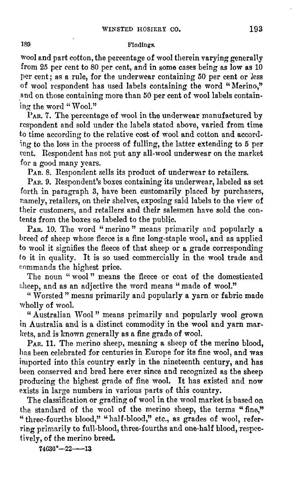### 189 Findings.

wool and part cotton, the percentage of wool therein varying generally from 25 per cent to 80 per cent, and in some cases being as low as 10 per cent; as a rule, for the underwear containing 50 per cent or *less*  of wool respondent has used labels containing the word "Merino," and on those containing more than 50 per cent of wool labels containing the word " Wool."

PAR. 7. The percentage of wool in the underwear manufactured by respondent and sold under the labels stated above, varied from time to time according *to* the relative cost of wool and cotton and accord-1ng to the loss in the process of fulling, the latter extending to 5 per cent. Respondent has not put any all-wool underwear on the market for a good many years.

P<sub>AR</sub>. 8. Respondent sells its product of underwear to retailers.

PAR. 9. Respondent's boxes containing its underwear, labeled as set forth in paragraph 3, have been customarily placed by purchasers, namely, retailers, on their shelves, exposing said labels to the view of their customers, and retailers and their salesmen have sold the contents from the boxes so labeled to the public.

PAR. 10. The word "merino" means primarily and popularly a breed of sheep whose fleece is a fine long-staple wool, and as applied to wool it signifies the fleece of that sheep or a grade corresponding to it in quality. It is so used commercially in the wool trade and commands the highest price.

The noun " wool" means the fleece or coat of the domesticated sheep, and as an adjective the word means "made of wool."

" Worsted" means primarily and popularly a yarn or fabric made wholly of wool.

" Australian Wool" means primarily and popularly wool grown in Australia and is a distinct commodity in the wool and yarn markets, and is known generally as a fine grade of wool.

PAR. 11. The merino sheep, meaning a sheep of the merino blood, has been celebrated for centuries in Europe for its fine wool, and was imported into this country early in the nineteenth century, and has been conserved and bred here ever since and recognized as the sheep producing the highest grade of fine wool. It has existed and now exists in large numbers in various parts of this country.

The classification or grading of wool in the wool market is based on the standard of the wool of the merino sheep, the terms "fine," "three-fourths blood," "half-blood," etc., as grades of wool, referring primarily to full-blood, three-fourths and one-half blood, respectively, of the merino breed.

**74636°-22-13**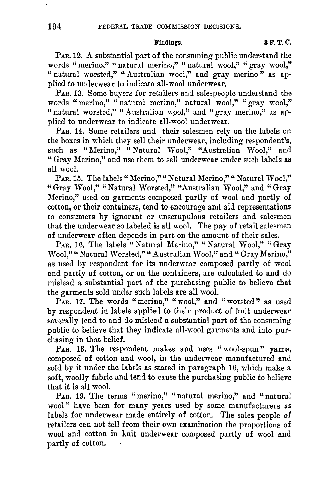### Findings. **3 F.T.C.**

PAR, 12. A substantial part of the consuming public understand tho words " merino," " natural merino," " natural wool," " gray wool," " natural worsted," "Australian wool," and gray merino" as applied to underwear to indicate all-wool underwear.

PAR. 13. Some buyers for retailers and salespeople understand the words " merino," " natural merino," natural wool," " gray wool," " natural worsted," "Australian wool," and "gray merino," as applied to underwear to indicate all-wool underwear.

PAR. 14. Some retailers and their salesmen rely on the labels on the boxes in which they sell their underwear, including respondent's, such as "Merino," "Natural Wool," "Australian Wool," and " Gray Merino," and use them to sell underwear under such labels as all wool.

PAR. 15. The labels "Merino," "Natural Merino," "Natural Wool," "Gray Wool," "Natural Worsted," "Australian Wool," and "Gray Merino," used on garments composed partly of wool and partly of cotton, or their containers, tend to encourage and aid representations to consumers by ignorant or unscrupulous retailers and salesmen that the underwear so labeled is all wool. The pay of retail salesmen of underwear often depends in part on the amount of their sales.

PAR. 16. The labels " Natural Merino," " Natural Wool," " Gray Wool," "Natural Worsted," "Australian Wool," and "Gray Merino," as used by respondent for its underwear composed partly of wool and partly of cotton, or on the containers, are calculated to and do mislead **a** substantial part of the purchasing public to believe that the garments sold under such labels are all wool.

PAR. 17. The words "merino," "wool," and "worsted" as used by respondent in labels applied to their product of knit underwear severally tend to and do mislead a substantial part of the consuming public to believe that they indicate all-wool garments and into purchasing in that belief.

PAR. 18. The respondent makes and uses "wool-spun" yarns, composed of cotton and wool, in the underwear manufactured and sold by it under the labels as stated in paragraph 16, which make a soft, woolly fabric and tend to cause the purchasing public to believe that it is all wool.

PAR. 19. The terms "merino," "natural merino," and "natural wool" have been for many years used by some manufacturers as labels for underwear made entirely of cotton. The sales people of retailers can not tell from their own examination the proportions of wool and cotton in knit underwear composed partly of wool and partly of cotton.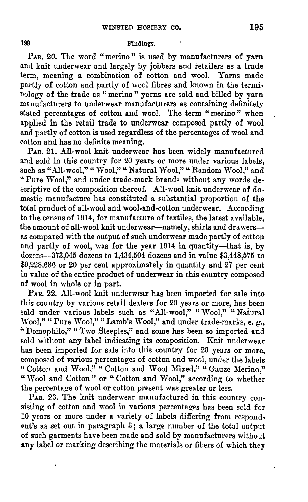### **189** Findings.

PAR. 20. The word "merino" is used by manufacturers of yarn and knit underwear and largely by jobbers and retailers as a trade term, meaning a combination of cotton and wool. Yarns made partly of cotton and partly of wool fibres and known in the terminology of the trade as " merino " yarns are sold and billed by yarn manufacturers to underwear manufacturers as containing definitely stated percentages of cotton and wool. The term "merino" when applied in the retail trade to underwear composed partly of wool and partly of cotton is used regardless of the percentages of wool and cotton and has no definite meaning.

PAR, 21. All-wool knit underwear has been widely manufactured and sold in this country for 20 years or more under various labels, such as "All-wool," " Wool," " Natural Wool," " Random Wool," and "Pure Wool," and under trade-mark brands without any words descriptive of the composition thereof. AU-wool knit underwear of domestic manufacture has constituted a substantial proportion of the total product of all-wool and wool-and-cotton underwear. According to the census of 1914, for manufacture of textiles, the latest available, the amount of all-wool knit underwear-namely, shirts and drawersas compared with the output of such underwear made partly of cotton and partly of wool, was for the year 1914 in quantity-that is, by dozens-373,045 dozens to 1,434,504 dozens and in value \$3,448,575 to \$9,228,686 or 20 per cent approximately in quantity and 27 per cent in value of the entire product of underwear in this country composed of wool in whole or in part.

**PAR.** 22. All-wool knit underwear has been imported for sale into this country by various retail dealers for 20 years or more, has been sold under various labels such as "All-wool," "Wool," "Natural Wool," " Pure Wool," " Lamb's Wool," and under trade-marks, e. g., " Demophilo," " Two Steeples," **and** some has been so imported and sold without any label indicating its composition. Knit underwear has been imported for sale into this country for 20 years or more, composed of various percentages of cotton and wool, under the labels " Cotton and Wool," " Cotton and Wool Mixed," " Gauze Merino." "Wool and Cotton" or "Cotton and Wool," according to whether the percentage of wool or cotton present was greater or less.

PAR. 23. The knit underwear manufactured in this country consisting of cotton and wool in various percentages has been sold for 10 years or more under a variety of labels differing from respond. ent's as set out in paragraph 3; a large number of the total output of such garments have been made and sold by manufacturers without any label or marking describing the materials or fibers of which they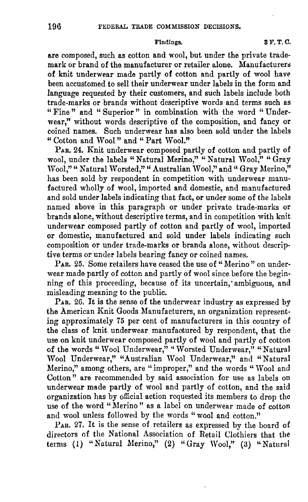are composed, such as cotton and wool, but under the private trademark or brand of the manufacturer or retailer alone. Manufacturers of knit underwear made partly of cotton and partly of wool have been accustomed to sell their underwear under labels in the form and language requested by their customers, and such labels include both trade-marks or brands without descriptive words and terms such as "Fine" and "Superior" in combination with the word "Underwear," without words descriptive of the composition, and fancy or coined names. Such underwear has also been sold under the labels " Cotton and Wool" and " Part Wool."

PAR. 24. Knit underwear composed partly of cotton and partly of wool, under the labels "Natural Merino," "Natural Wool," "Gray Wool," " Natural Worsted," " Australian Wool," and " Gray Merino," has been sold by respondent in competition with underwear manufactured wholly of wool, imported and domestic, and manufactured and sold under labels indicating that fact, or under some of the labels named above in this paragraph or under private trade-marks or brands alone, without descriptive terms, and in competition with knit underwear composed partly of cotton and partly of wool, imported or domestic, manufactured and sold under labels indicating such composition or under trade-marks or brands alone, without descriptive terms or under labels bearing fancy or coined names.

PAR. 25. Some retailers have ceased the use of "Merino" on underwear made partly of cotton and partly of wool since before the beginning of this proceeding, because of its uncertain, ambiguous, and misleading meaning to the public.

PAR. 26. It is the sense of the underwear industry as expressed by the American Knit Goods Manufacturers, an organization representing approximately 75 per cent of manufacturers in this country of the class of knit underwear manufaotured by respondent, that the use on knit underwear composed partly of wool and partly of cotton of the words " Wool Underwear," "Worsted Underwear," "Natural Wool Underwear," "Australian Wool Underwear," and "Natural Merino," among others, are "improper," and the words "Wool and Cotton" are recommended by said associntion for use as labels on underwear made partly of wool and partly of cotton, and the said organization has by official action requested its members to drop the use of the word "Merino" as a label on underwear made of cotton and wool unless followed by the words "wool and cotton."

PAR. 27. It is the sense of retailers as expressed by the board of directors of the National Association of Retail Clothiers that the terms (1) "Natural Merino," (2) "Gray Wool," (3) "Natural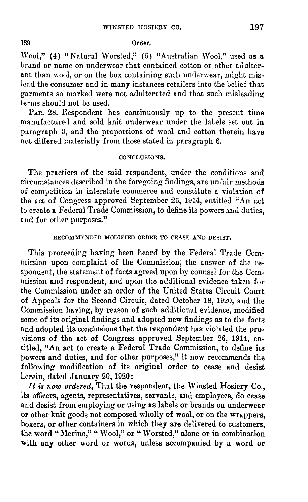#### 189 Order.

Wool," (4) "Natural Worsted," (5) "Australian Wool," used as a brand or name on underwear that contained cotton or other adulter• ant than wool, or on the box containing such underwear, might mis. lead the consumer and in many instances retailers into the belief that garments so marked were not adulterated and that such misleading terms should not be used.

PAu. 28. Respondent has continuously up to the present time manufactured and sold knit underwear under the labels set out in paragraph 3, and the proportions of wool and cotton therein have not differed materially from those stated in paragraph 6.

#### CONCLUSIONS,

The practices of the said respondent, under the conditions and circumstances described in the foregoing findings, are unfair methods of competition in interstate commerce and constitute a violation of the act of Congress approved September 26, 1914, entitled "An act to create a Federal Trade Commission, to define its powers and duties, and for other purposes."

# RECOMMENDED MODIFIED ORDER TO CEASE AND DESIST,

This proceeding having been heard by the Federal Trade Commission upon complaint of the Commission; the answer of the respondent, the statement of facts agreed upon by counsel for the Commission and respondent, and upon the additional evidence taken for the Commission under an order of the United States Circuit Court of Appeals for the Second Circuit, dated October 18, 1920, and the Commission having, by reason of such additional evidence, modified some of its original findings and adopted new findings as to the facts and adopted its conclusions that the respondent has violated the provisions of the act of Congress approved September 26, 1914, en. titled, "An act to create a Federal Trade Commission, to define its powers and duties, and for other purposes," it now recommends the following modification of its original order to cease and desist herein, dated January 20, 1920:

*It is now ordered,* That the respondent, the Winsted Hosiery Co., its officers, agents, representatives, servants, and employees, do cease and desist from employing or using as labels or brands on underwear or other knit goods not composed wholly of wool, or on the wrappers, boxers, or other containers in which they are delivered to customers, the word "Merino," "Wool," or "Worsted," alone or in combination with any other word or words, unless accompanied by a word or